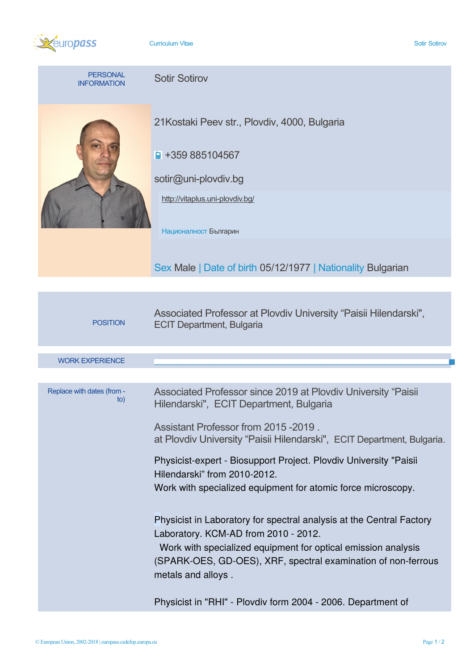

**Curriculum Vitae Sotir Sotirovich Curriculum Vitae Sotir Sotirovich Curriculum Vitae Sotir Sotirovich Curriculum Vitae Sotir Sotirovich Curriculum Vitae Sotir Sotirovich Curriculum Vitae Sotir Sotirovich Curriculum Vitae** 

| <b>PERSONAL</b><br><b>INFORMATION</b> | <b>Sotir Sotirov</b>                                                                                                                                                                                                              |  |  |  |  |  |
|---------------------------------------|-----------------------------------------------------------------------------------------------------------------------------------------------------------------------------------------------------------------------------------|--|--|--|--|--|
|                                       | 21 Kostaki Peev str., Plovdiv, 4000, Bulgaria<br>$\blacksquare$ +359 885104567<br>sotir@uni-plovdiv.bg<br>http://vitaplus.uni-plovdiv.bg/<br>Националност Българин<br>Sex Male   Date of birth 05/12/1977   Nationality Bulgarian |  |  |  |  |  |
|                                       |                                                                                                                                                                                                                                   |  |  |  |  |  |
| <b>POSITION</b>                       | Associated Professor at Plovdiv University "Paisii Hilendarski",<br><b>ECIT Department, Bulgaria</b>                                                                                                                              |  |  |  |  |  |
|                                       |                                                                                                                                                                                                                                   |  |  |  |  |  |
| <b>WORK EXPERIENCE</b>                |                                                                                                                                                                                                                                   |  |  |  |  |  |
|                                       |                                                                                                                                                                                                                                   |  |  |  |  |  |
| Replace with dates (from -            | Associated Professor since 2019 at Plovdiv University "Paisii                                                                                                                                                                     |  |  |  |  |  |

| <b>WORK EXPERIENCE</b>            |                                                                                                                                |
|-----------------------------------|--------------------------------------------------------------------------------------------------------------------------------|
|                                   |                                                                                                                                |
| Replace with dates (from -<br>to) | Associated Professor since 2019 at Plovdiv University "Paisii<br>Hilendarski", ECIT Department, Bulgaria                       |
|                                   | Assistant Professor from 2015 - 2019.<br>at Plovdiv University "Paisii Hilendarski", ECIT Department, Bulgaria.                |
|                                   | Physicist-expert - Biosupport Project. Plovdiv University "Paisii<br>Hilendarski" from 2010-2012.                              |
|                                   | Work with specialized equipment for atomic force microscopy.                                                                   |
|                                   | Physicist in Laboratory for spectral analysis at the Central Factory<br>Laboratory. KCM-AD from 2010 - 2012.                   |
|                                   | Work with specialized equipment for optical emission analysis<br>(SPARK-OES, GD-OES), XRF, spectral examination of non-ferrous |
|                                   | metals and alloys.                                                                                                             |
|                                   | Physicist in "RHI" - Plovdiv form 2004 - 2006. Department of                                                                   |